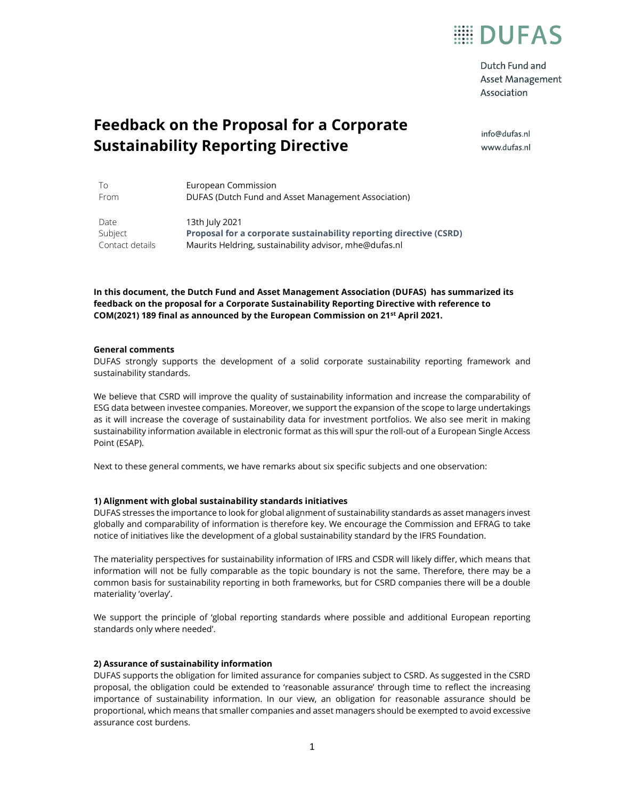

Dutch Fund and Asset Management Association

# Feedback on the Proposal for a Corporate Sustainability Reporting Directive

info@dufas.nl www.dufas.nl

| To   | European Commission                                 |
|------|-----------------------------------------------------|
| From | DUFAS (Dutch Fund and Asset Management Association) |
|      |                                                     |

Date 13th July 2021

Subject Proposal for a corporate sustainability reporting directive (CSRD) Contact details Maurits Heldring, sustainability advisor, mhe@dufas.nl

In this document, the Dutch Fund and Asset Management Association (DUFAS) has summarized its feedback on the proposal for a Corporate Sustainability Reporting Directive with reference to COM(2021) 189 final as announced by the European Commission on 21st April 2021.

#### General comments

DUFAS strongly supports the development of a solid corporate sustainability reporting framework and sustainability standards.

We believe that CSRD will improve the quality of sustainability information and increase the comparability of ESG data between investee companies. Moreover, we support the expansion of the scope to large undertakings as it will increase the coverage of sustainability data for investment portfolios. We also see merit in making sustainability information available in electronic format as this will spur the roll-out of a European Single Access Point (ESAP).

Next to these general comments, we have remarks about six specific subjects and one observation:

# 1) Alignment with global sustainability standards initiatives

DUFAS stresses the importance to look for global alignment of sustainability standards as asset managers invest globally and comparability of information is therefore key. We encourage the Commission and EFRAG to take notice of initiatives like the development of a global sustainability standard by the IFRS Foundation.

The materiality perspectives for sustainability information of IFRS and CSDR will likely differ, which means that information will not be fully comparable as the topic boundary is not the same. Therefore, there may be a common basis for sustainability reporting in both frameworks, but for CSRD companies there will be a double materiality 'overlay'.

We support the principle of 'global reporting standards where possible and additional European reporting standards only where needed'.

# 2) Assurance of sustainability information

DUFAS supports the obligation for limited assurance for companies subject to CSRD. As suggested in the CSRD proposal, the obligation could be extended to 'reasonable assurance' through time to reflect the increasing importance of sustainability information. In our view, an obligation for reasonable assurance should be proportional, which means that smaller companies and asset managers should be exempted to avoid excessive assurance cost burdens.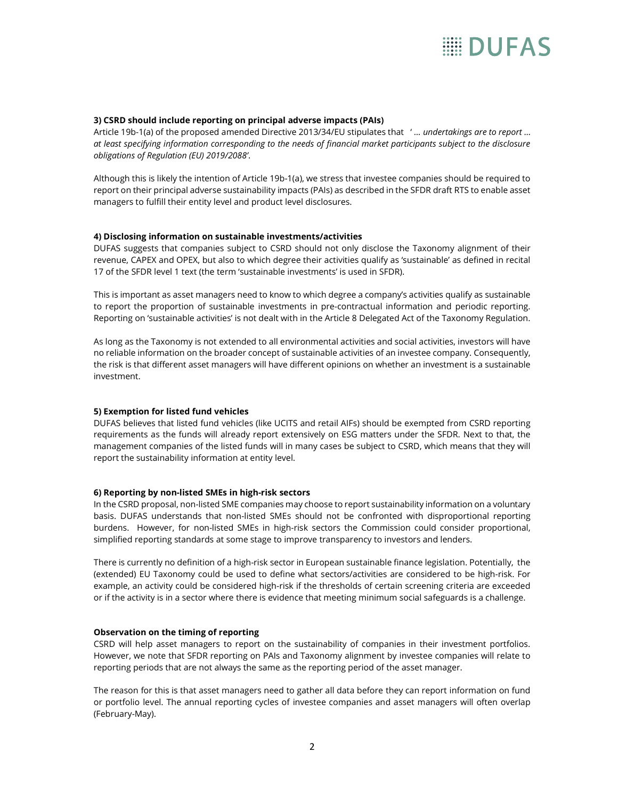# **EEDUFAS**

#### 3) CSRD should include reporting on principal adverse impacts (PAIs)

Article 19b-1(a) of the proposed amended Directive 2013/34/EU stipulates that ' … undertakings are to report … at least specifying information corresponding to the needs of financial market participants subject to the disclosure obligations of Regulation (EU) 2019/2088'.

Although this is likely the intention of Article 19b-1(a), we stress that investee companies should be required to report on their principal adverse sustainability impacts (PAIs) as described in the SFDR draft RTS to enable asset managers to fulfill their entity level and product level disclosures.

# 4) Disclosing information on sustainable investments/activities

DUFAS suggests that companies subject to CSRD should not only disclose the Taxonomy alignment of their revenue, CAPEX and OPEX, but also to which degree their activities qualify as 'sustainable' as defined in recital 17 of the SFDR level 1 text (the term 'sustainable investments' is used in SFDR).

This is important as asset managers need to know to which degree a company's activities qualify as sustainable to report the proportion of sustainable investments in pre-contractual information and periodic reporting. Reporting on 'sustainable activities' is not dealt with in the Article 8 Delegated Act of the Taxonomy Regulation.

As long as the Taxonomy is not extended to all environmental activities and social activities, investors will have no reliable information on the broader concept of sustainable activities of an investee company. Consequently, the risk is that different asset managers will have different opinions on whether an investment is a sustainable investment.

# 5) Exemption for listed fund vehicles

DUFAS believes that listed fund vehicles (like UCITS and retail AIFs) should be exempted from CSRD reporting requirements as the funds will already report extensively on ESG matters under the SFDR. Next to that, the management companies of the listed funds will in many cases be subject to CSRD, which means that they will report the sustainability information at entity level.

# 6) Reporting by non-listed SMEs in high-risk sectors

In the CSRD proposal, non-listed SME companies may choose to report sustainability information on a voluntary basis. DUFAS understands that non-listed SMEs should not be confronted with disproportional reporting burdens. However, for non-listed SMEs in high-risk sectors the Commission could consider proportional, simplified reporting standards at some stage to improve transparency to investors and lenders.

There is currently no definition of a high-risk sector in European sustainable finance legislation. Potentially, the (extended) EU Taxonomy could be used to define what sectors/activities are considered to be high-risk. For example, an activity could be considered high-risk if the thresholds of certain screening criteria are exceeded or if the activity is in a sector where there is evidence that meeting minimum social safeguards is a challenge.

# Observation on the timing of reporting

CSRD will help asset managers to report on the sustainability of companies in their investment portfolios. However, we note that SFDR reporting on PAIs and Taxonomy alignment by investee companies will relate to reporting periods that are not always the same as the reporting period of the asset manager.

The reason for this is that asset managers need to gather all data before they can report information on fund or portfolio level. The annual reporting cycles of investee companies and asset managers will often overlap (February-May).